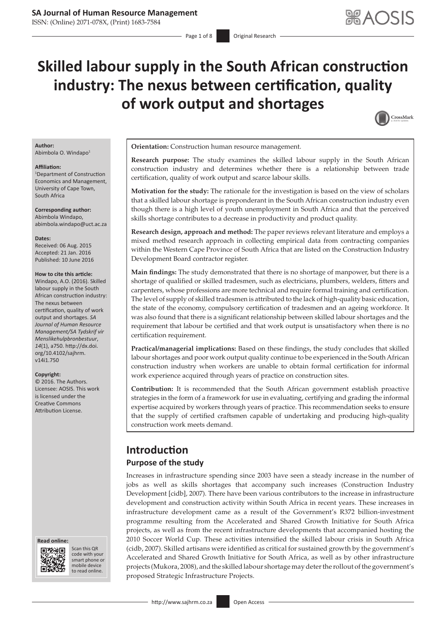ISSN: (Online) 2071-078X, (Print) 1683-7584

# **Skilled labour supply in the South African construction industry: The nexus between certification, quality of work output and shortages**



#### **Author:** Abimbola O. Windapo<sup>1</sup>

#### **Affiliation:**

1 Department of Construction Economics and Management, University of Cape Town, South Africa

**Corresponding author:** Abimbola Windapo, [abimbola.windapo@uct.ac.za](mailto:abimbola.windapo@uct.ac.za)

#### **Dates:**

Received: 06 Aug. 2015 Accepted: 21 Jan. 2016 Published: 10 June 2016

#### **How to cite this article:**

Windapo, A.O. (2016). Skilled labour supply in the South African construction industry: The nexus between certification, quality of work output and shortages. *SA Journal of Human Resource Management/SA Tydskrif vir Menslikehulpbronbestuur*, *14*(1), a750. [http://dx.doi.](http://dx.doi.org/10.4102/sajhrm.v14i1.750) [org/10.4102/sajhrm.](http://dx.doi.org/10.4102/sajhrm.v14i1.750) [v14i1.750](http://dx.doi.org/10.4102/sajhrm.v14i1.750)

#### **Copyright:**

© 2016. The Authors. Licensee: AOSIS. This work is licensed under the Creative Commons Attribution License.

#### **Read online: Read**



Scan this QR code with your Scan this QR<br>code with your<br>smart phone or<br>mobile device mobile device to read online. to read online.

**Orientation:** Construction human resource management.

**Research purpose:** The study examines the skilled labour supply in the South African construction industry and determines whether there is a relationship between trade certification, quality of work output and scarce labour skills.

**Motivation for the study:** The rationale for the investigation is based on the view of scholars that a skilled labour shortage is preponderant in the South African construction industry even though there is a high level of youth unemployment in South Africa and that the perceived skills shortage contributes to a decrease in productivity and product quality.

**Research design, approach and method:** The paper reviews relevant literature and employs a mixed method research approach in collecting empirical data from contracting companies within the Western Cape Province of South Africa that are listed on the Construction Industry Development Board contractor register.

**Main findings:** The study demonstrated that there is no shortage of manpower, but there is a shortage of qualified or skilled tradesmen, such as electricians, plumbers, welders, fitters and carpenters, whose professions are more technical and require formal training and certification. The level of supply of skilled tradesmen is attributed to the lack of high-quality basic education, the state of the economy, compulsory certification of tradesmen and an ageing workforce. It was also found that there is a significant relationship between skilled labour shortages and the requirement that labour be certified and that work output is unsatisfactory when there is no certification requirement.

**Practical/managerial implications:** Based on these findings, the study concludes that skilled labour shortages and poor work output quality continue to be experienced in the South African construction industry when workers are unable to obtain formal certification for informal work experience acquired through years of practice on construction sites.

**Contribution:** It is recommended that the South African government establish proactive strategies in the form of a framework for use in evaluating, certifying and grading the informal expertise acquired by workers through years of practice. This recommendation seeks to ensure that the supply of certified craftsmen capable of undertaking and producing high-quality construction work meets demand.

# **Introduction Purpose of the study**

Increases in infrastructure spending since 2003 have seen a steady increase in the number of jobs as well as skills shortages that accompany such increases (Construction Industry Development [cidb], 2007). There have been various contributors to the increase in infrastructure development and construction activity within South Africa in recent years. These increases in infrastructure development came as a result of the Government's R372 billion-investment programme resulting from the Accelerated and Shared Growth Initiative for South Africa projects, as well as from the recent infrastructure developments that accompanied hosting the 2010 Soccer World Cup. These activities intensified the skilled labour crisis in South Africa (cidb, 2007). Skilled artisans were identified as critical for sustained growth by the government's Accelerated and Shared Growth Initiative for South Africa, as well as by other infrastructure projects (Mukora, 2008), and the skilled labour shortage may deter the rollout of the government's proposed Strategic Infrastructure Projects.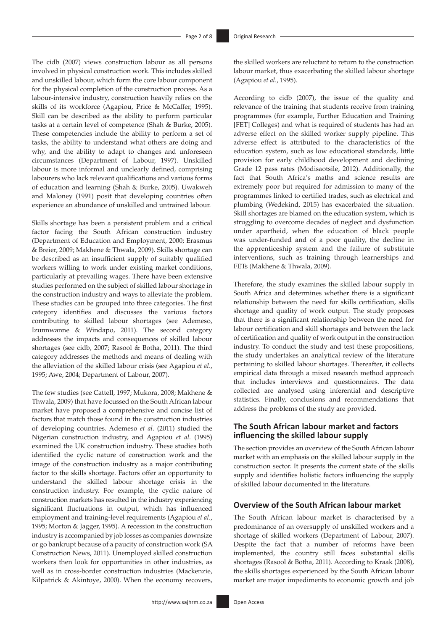The cidb (2007) views construction labour as all persons involved in physical construction work. This includes skilled and unskilled labour, which form the core labour component for the physical completion of the construction process. As a labour-intensive industry, construction heavily relies on the skills of its workforce (Agapiou, Price & McCaffer, 1995). Skill can be described as the ability to perform particular tasks at a certain level of competence (Shah & Burke, 2005). These competencies include the ability to perform a set of tasks, the ability to understand what others are doing and why, and the ability to adapt to changes and unforeseen circumstances (Department of Labour, 1997). Unskilled labour is more informal and unclearly defined, comprising labourers who lack relevant qualifications and various forms of education and learning (Shah & Burke, 2005). Uwakweh and Maloney (1991) posit that developing countries often experience an abundance of unskilled and untrained labour.

Skills shortage has been a persistent problem and a critical factor facing the South African construction industry (Department of Education and Employment, 2000; Erasmus & Breier, 2009; Makhene & Thwala, 2009). Skills shortage can be described as an insufficient supply of suitably qualified workers willing to work under existing market conditions, particularly at prevailing wages. There have been extensive studies performed on the subject of skilled labour shortage in the construction industry and ways to alleviate the problem. These studies can be grouped into three categories. The first category identifies and discusses the various factors contributing to skilled labour shortages (see Ademeso, Izunnwanne & Windapo, 2011). The second category addresses the impacts and consequences of skilled labour shortages (see cidb, 2007; Rasool & Botha, 2011). The third category addresses the methods and means of dealing with the alleviation of the skilled labour crisis (see Agapiou *et al*., 1995; Awe, 2004; Department of Labour, 2007).

The few studies (see Cattell, 1997; Mukora, 2008; Makhene & Thwala, 2009) that have focussed on the South African labour market have proposed a comprehensive and concise list of factors that match those found in the construction industries of developing countries. Ademeso *et al*. (2011) studied the Nigerian construction industry, and Agapiou *et al*. (1995) examined the UK construction industry. These studies both identified the cyclic nature of construction work and the image of the construction industry as a major contributing factor to the skills shortage. Factors offer an opportunity to understand the skilled labour shortage crisis in the construction industry. For example, the cyclic nature of construction markets has resulted in the industry experiencing significant fluctuations in output, which has influenced employment and training-level requirements (Agapiou *et al*., 1995; Morton & Jagger, 1995). A recession in the construction industry is accompanied by job losses as companies downsize or go bankrupt because of a paucity of construction work (SA Construction News, 2011). Unemployed skilled construction workers then look for opportunities in other industries, as well as in cross-border construction industries (Mackenzie, Kilpatrick & Akintoye, 2000). When the economy recovers,

the skilled workers are reluctant to return to the construction labour market, thus exacerbating the skilled labour shortage (Agapiou *et al*., 1995).

According to cidb (2007), the issue of the quality and relevance of the training that students receive from training programmes (for example, Further Education and Training [FET] Colleges) and what is required of students has had an adverse effect on the skilled worker supply pipeline. This adverse effect is attributed to the characteristics of the education system, such as low educational standards, little provision for early childhood development and declining Grade 12 pass rates (Modisaotsile, 2012). Additionally, the fact that South Africa's maths and science results are extremely poor but required for admission to many of the programmes linked to certified trades, such as electrical and plumbing (Wedekind, 2015) has exacerbated the situation. Skill shortages are blamed on the education system, which is struggling to overcome decades of neglect and dysfunction under apartheid, when the education of black people was under-funded and of a poor quality, the decline in the apprenticeship system and the failure of substitute interventions, such as training through learnerships and FETs (Makhene & Thwala, 2009).

Therefore, the study examines the skilled labour supply in South Africa and determines whether there is a significant relationship between the need for skills certification, skills shortage and quality of work output. The study proposes that there is a significant relationship between the need for labour certification and skill shortages and between the lack of certification and quality of work output in the construction industry. To conduct the study and test these propositions, the study undertakes an analytical review of the literature pertaining to skilled labour shortages. Thereafter, it collects empirical data through a mixed research method approach that includes interviews and questionnaires. The data collected are analysed using inferential and descriptive statistics. Finally, conclusions and recommendations that address the problems of the study are provided.

### **The South African labour market and factors influencing the skilled labour supply**

The section provides an overview of the South African labour market with an emphasis on the skilled labour supply in the construction sector. It presents the current state of the skills supply and identifies holistic factors influencing the supply of skilled labour documented in the literature.

### **Overview of the South African labour market**

The South African labour market is characterised by a predominance of an oversupply of unskilled workers and a shortage of skilled workers (Department of Labour, 2007). Despite the fact that a number of reforms have been implemented, the country still faces substantial skills shortages (Rasool & Botha, 2011). According to Kraak (2008), the skills shortages experienced by the South African labour market are major impediments to economic growth and job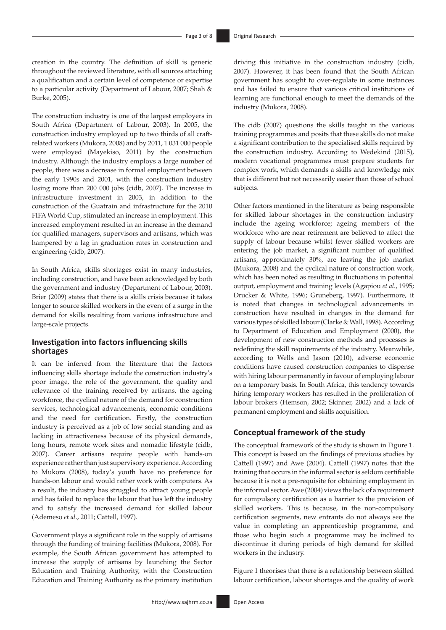creation in the country. The definition of skill is generic throughout the reviewed literature, with all sources attaching a qualification and a certain level of competence or expertise to a particular activity (Department of Labour, 2007; Shah & Burke, 2005).

The construction industry is one of the largest employers in South Africa (Department of Labour, 2003). In 2005, the construction industry employed up to two thirds of all craftrelated workers (Mukora, 2008) and by 2011, 1 031 000 people were employed (Mayekiso, 2011) by the construction industry. Although the industry employs a large number of people, there was a decrease in formal employment between the early 1990s and 2001, with the construction industry losing more than 200 000 jobs (cidb, 2007). The increase in infrastructure investment in 2003, in addition to the construction of the Guatrain and infrastructure for the 2010 FIFA World Cup, stimulated an increase in employment. This increased employment resulted in an increase in the demand for qualified managers, supervisors and artisans, which was hampered by a lag in graduation rates in construction and engineering (cidb, 2007).

In South Africa, skills shortages exist in many industries, including construction, and have been acknowledged by both the government and industry (Department of Labour, 2003). Brier (2009) states that there is a skills crisis because it takes longer to source skilled workers in the event of a surge in the demand for skills resulting from various infrastructure and large-scale projects.

### **Investigation into factors influencing skills shortages**

It can be inferred from the literature that the factors influencing skills shortage include the construction industry's poor image, the role of the government, the quality and relevance of the training received by artisans, the ageing workforce, the cyclical nature of the demand for construction services, technological advancements, economic conditions and the need for certification. Firstly, the construction industry is perceived as a job of low social standing and as lacking in attractiveness because of its physical demands, long hours, remote work sites and nomadic lifestyle (cidb, 2007). Career artisans require people with hands-on experience rather than just supervisory experience. According to Mukora (2008), today's youth have no preference for hands-on labour and would rather work with computers. As a result, the industry has struggled to attract young people and has failed to replace the labour that has left the industry and to satisfy the increased demand for skilled labour (Ademeso *et al*., 2011; Cattell, 1997).

Government plays a significant role in the supply of artisans through the funding of training facilities (Mukora, 2008). For example, the South African government has attempted to increase the supply of artisans by launching the Sector Education and Training Authority, with the Construction Education and Training Authority as the primary institution

driving this initiative in the construction industry (cidb, 2007). However, it has been found that the South African government has sought to over-regulate in some instances and has failed to ensure that various critical institutions of learning are functional enough to meet the demands of the industry (Mukora, 2008).

The cidb (2007) questions the skills taught in the various training programmes and posits that these skills do not make a significant contribution to the specialised skills required by the construction industry. According to Wedekind (2015), modern vocational programmes must prepare students for complex work, which demands a skills and knowledge mix that is different but not necessarily easier than those of school subjects.

Other factors mentioned in the literature as being responsible for skilled labour shortages in the construction industry include the ageing workforce; ageing members of the workforce who are near retirement are believed to affect the supply of labour because whilst fewer skilled workers are entering the job market, a significant number of qualified artisans, approximately 30%, are leaving the job market (Mukora, 2008) and the cyclical nature of construction work, which has been noted as resulting in fluctuations in potential output, employment and training levels (Agapiou *et al*., 1995; Drucker & White, 1996; Gruneberg, 1997). Furthermore, it is noted that changes in technological advancements in construction have resulted in changes in the demand for various types of skilled labour (Clarke & Wall, 1998). According to Department of Education and Employment (2000), the development of new construction methods and processes is redefining the skill requirements of the industry. Meanwhile, according to Wells and Jason (2010), adverse economic conditions have caused construction companies to dispense with hiring labour permanently in favour of employing labour on a temporary basis. In South Africa, this tendency towards hiring temporary workers has resulted in the proliferation of labour brokers (Hemson, 2002; Skinner, 2002) and a lack of permanent employment and skills acquisition.

### **Conceptual framework of the study**

The conceptual framework of the study is shown in Figure 1. This concept is based on the findings of previous studies by Cattell (1997) and Awe (2004). Cattell (1997) notes that the training that occurs in the informal sector is seldom certifiable because it is not a pre-requisite for obtaining employment in the informal sector. Awe (2004) views the lack of a requirement for compulsory certification as a barrier to the provision of skilled workers. This is because, in the non-compulsory certification segments, new entrants do not always see the value in completing an apprenticeship programme, and those who begin such a programme may be inclined to discontinue it during periods of high demand for skilled workers in the industry.

Figure 1 theorises that there is a relationship between skilled labour certification, labour shortages and the quality of work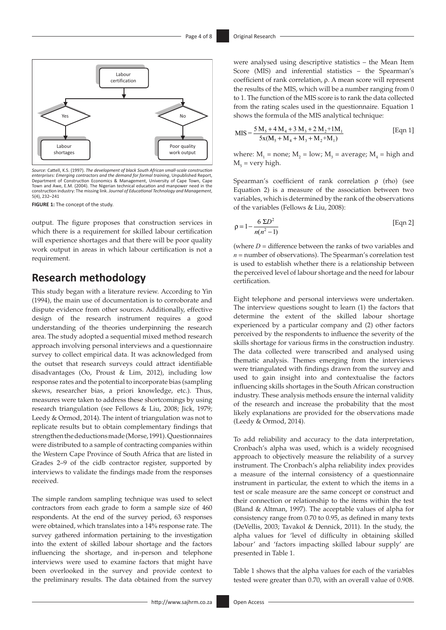

*Source:* Cattell, K.S. (1997). *The development of black South African small-scale construction enterprises: Emerging contractors and the demand for formal training*, Unpublished Report, Department of Construction Economics & Management, University of Cape Town, Cape Town and Awe, E.M. (2004). The Nigerian technical education and manpower need in the construction industry: The missing link. *Journal of Educational Technology and Management*, 5(4), 232–241

**FIGURE 1:** The concept of the study.

output. The figure proposes that construction services in which there is a requirement for skilled labour certification will experience shortages and that there will be poor quality work output in areas in which labour certification is not a requirement.

# **Research methodology**

This study began with a literature review. According to Yin (1994), the main use of documentation is to corroborate and dispute evidence from other sources. Additionally, effective design of the research instrument requires a good understanding of the theories underpinning the research area. The study adopted a sequential mixed method research approach involving personal interviews and a questionnaire survey to collect empirical data. It was acknowledged from the outset that research surveys could attract identifiable disadvantages (Oo, Proust & Lim, 2012), including low response rates and the potential to incorporate bias (sampling skews, researcher bias, a priori knowledge, etc.). Thus, measures were taken to address these shortcomings by using research triangulation (see Fellows & Liu, 2008; Jick, 1979; Leedy & Ormod, 2014). The intent of triangulation was not to replicate results but to obtain complementary findings that strengthen the deductions made (Morse, 1991). Questionnaires were distributed to a sample of contracting companies within the Western Cape Province of South Africa that are listed in Grades 2–9 of the cidb contractor register, supported by interviews to validate the findings made from the responses received.

The simple random sampling technique was used to select contractors from each grade to form a sample size of 460 respondents. At the end of the survey period, 63 responses were obtained, which translates into a 14% response rate. The survey gathered information pertaining to the investigation into the extent of skilled labour shortage and the factors influencing the shortage, and in-person and telephone interviews were used to examine factors that might have been overlooked in the survey and provide context to the preliminary results. The data obtained from the survey

were analysed using descriptive statistics – the Mean Item Score (MIS) and inferential statistics – the Spearman's coefficient of rank correlation, p. A mean score will represent the results of the MIS, which will be a number ranging from 0 to 1. The function of the MIS score is to rank the data collected from the rating scales used in the questionnaire. Equation 1 shows the formula of the MIS analytical technique:

$$
MIS = \frac{5 M_s + 4 M_4 + 3 M_3 + 2 M_2 + 1 M_1}{5 x (M_s + M_4 + M_3 + M_2 + M_1)}
$$
 [Eqn 1]

where:  $M_1$  = none;  $M_2$  = low;  $M_3$  = average;  $M_4$  = high and  $M<sub>s</sub>$  = very high.

Spearman's coefficient of rank correlation  $\rho$  (rho) (see Equation 2) is a measure of the association between two variables, which is determined by the rank of the observations of the variables (Fellows & Liu, 2008):

$$
\rho = 1 - \frac{6 \Sigma D^2}{n(n^2 - 1)}
$$
 [Eqn 2]

(where  $D =$  difference between the ranks of two variables and *n* = number of observations). The Spearman's correlation test is used to establish whether there is a relationship between the perceived level of labour shortage and the need for labour certification.

Eight telephone and personal interviews were undertaken. The interview questions sought to learn (1) the factors that determine the extent of the skilled labour shortage experienced by a particular company and (2) other factors perceived by the respondents to influence the severity of the skills shortage for various firms in the construction industry. The data collected were transcribed and analysed using thematic analysis. Themes emerging from the interviews were triangulated with findings drawn from the survey and used to gain insight into and contextualise the factors influencing skills shortages in the South African construction industry. These analysis methods ensure the internal validity of the research and increase the probability that the most likely explanations are provided for the observations made (Leedy & Ormod, 2014).

To add reliability and accuracy to the data interpretation, Cronbach's alpha was used, which is a widely recognised approach to objectively measure the reliability of a survey instrument. The Cronbach's alpha reliability index provides a measure of the internal consistency of a questionnaire instrument in particular, the extent to which the items in a test or scale measure are the same concept or construct and their connection or relationship to the items within the test (Bland & Altman, 1997). The acceptable values of alpha for consistency range from 0.70 to 0.95, as defined in many texts (DeVellis, 2003; Tavakol & Dennick, 2011). In the study, the alpha values for 'level of difficulty in obtaining skilled labour' and 'factors impacting skilled labour supply' are presented in Table 1.

Table 1 shows that the alpha values for each of the variables tested were greater than 0.70, with an overall value of 0.908.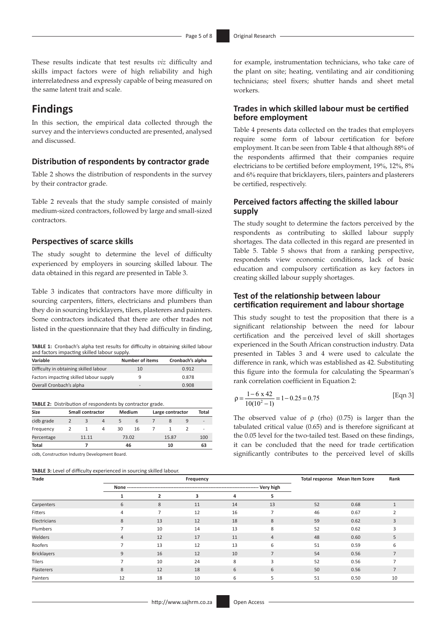These results indicate that test results *viz* difficulty and skills impact factors were of high reliability and high interrelatedness and expressly capable of being measured on the same latent trait and scale.

# **Findings**

In this section, the empirical data collected through the survey and the interviews conducted are presented, analysed and discussed.

#### **Distribution of respondents by contractor grade**

Table 2 shows the distribution of respondents in the survey by their contractor grade.

Table 2 reveals that the study sample consisted of mainly medium-sized contractors, followed by large and small-sized contractors.

#### **Perspectives of scarce skills**

The study sought to determine the level of difficulty experienced by employers in sourcing skilled labour. The data obtained in this regard are presented in Table 3.

Table 3 indicates that contractors have more difficulty in sourcing carpenters, fitters, electricians and plumbers than they do in sourcing bricklayers, tilers, plasterers and painters. Some contractors indicated that there are other trades not listed in the questionnaire that they had difficulty in finding,

**TABLE 1:** Cronbach's alpha test results for difficulty in obtaining skilled labour and factors impacting skilled labour supply.

| Variable                                | <b>Number of items</b>   | Cronbach's alpha |
|-----------------------------------------|--------------------------|------------------|
| Difficulty in obtaining skilled labour  | 10                       | 0.912            |
| Factors impacting skilled labour supply | q                        | 0.878            |
| Overall Cronbach's alpha                | $\overline{\phantom{a}}$ | 0.908            |

|  |  |  | TABLE 2: Distribution of respondents by contractor grade. |
|--|--|--|-----------------------------------------------------------|
|--|--|--|-----------------------------------------------------------|

| <b>Size</b>  | <b>Small contractor</b> |   |    | <b>Medium</b> |  | Large contractor |     |                              |
|--------------|-------------------------|---|----|---------------|--|------------------|-----|------------------------------|
| cidb grade   |                         |   |    | $\mathbf b$   |  |                  |     | $\qquad \qquad \blacksquare$ |
| Frequency    |                         | 4 | 30 | 16            |  |                  |     | -                            |
| Percentage   | 73.02<br>11.11          |   |    | 15.87         |  |                  | 100 |                              |
| <b>Total</b> |                         |   | 46 |               |  | 10               |     | 63                           |

cidb, Construction Industry Development Board.

| TABLE 3: Level of difficulty experienced in sourcing skilled labour. |  |
|----------------------------------------------------------------------|--|
|                                                                      |  |

for example, instrumentation technicians, who take care of the plant on site; heating, ventilating and air conditioning technicians; steel fixers; shutter hands and sheet metal workers.

### **Trades in which skilled labour must be certified before employment**

Table 4 presents data collected on the trades that employers require some form of labour certification for before employment. It can be seen from Table 4 that although 88% of the respondents affirmed that their companies require electricians to be certified before employment, 19%, 12%, 8% and 6% require that bricklayers, tilers, painters and plasterers be certified, respectively.

### **Perceived factors affecting the skilled labour supply**

The study sought to determine the factors perceived by the respondents as contributing to skilled labour supply shortages. The data collected in this regard are presented in Table 5. Table 5 shows that from a ranking perspective, respondents view economic conditions, lack of basic education and compulsory certification as key factors in creating skilled labour supply shortages.

#### **Test of the relationship between labour certification requirement and labour shortage**

This study sought to test the proposition that there is a significant relationship between the need for labour certification and the perceived level of skill shortages experienced in the South African construction industry. Data presented in Tables 3 and 4 were used to calculate the difference in rank, which was established as 42. Substituting this figure into the formula for calculating the Spearman's rank correlation coefficient in Equation 2:

$$
\rho = \frac{1 - 6 \times 42}{10(10^2 - 1)} = 1 - 0.25 = 0.75
$$
 [Eqn 3]

The observed value of  $\rho$  (rho) (0.75) is larger than the tabulated critical value (0.65) and is therefore significant at the 0.05 level for the two-tailed test. Based on these findings, it can be concluded that the need for trade certification significantly contributes to the perceived level of skills

| Trade              | Frequency      |                          |    |    |                | <b>Total response</b> | <b>Mean Item Score</b> | Rank |
|--------------------|----------------|--------------------------|----|----|----------------|-----------------------|------------------------|------|
|                    |                |                          |    |    |                |                       |                        |      |
|                    |                | $\overline{\phantom{a}}$ | 3  | 4  |                |                       |                        |      |
| Carpenters         | 6              | 8                        | 11 | 14 | 13             | 52                    | 0.68                   |      |
| Fitters            | 4              | $\overline{ }$           | 12 | 16 | $\overline{ }$ | 46                    | 0.67                   |      |
| Electricians       | 8              | 13                       | 12 | 18 | 8              | 59                    | 0.62                   | 3    |
| Plumbers           | 7              | 10                       | 14 | 13 | 8              | 52                    | 0.62                   | ς    |
| Welders            | $\overline{4}$ | 12                       | 17 | 11 | 4              | 48                    | 0.60                   | 5    |
| Roofers            |                | 13                       | 12 | 13 | 6              | 51                    | 0.59                   | ь    |
| <b>Bricklayers</b> | 9              | 16                       | 12 | 10 | ℸ              | 54                    | 0.56                   |      |
| Tilers             | -              | 10                       | 24 | 8  | $\mathbf{R}$   | 52                    | 0.56                   |      |
| Plasterers         | 8              | 12                       | 18 | 6  | 6              | 50                    | 0.56                   |      |
| Painters           | 12             | 18                       | 10 | 6  |                | 51                    | 0.50                   | 10   |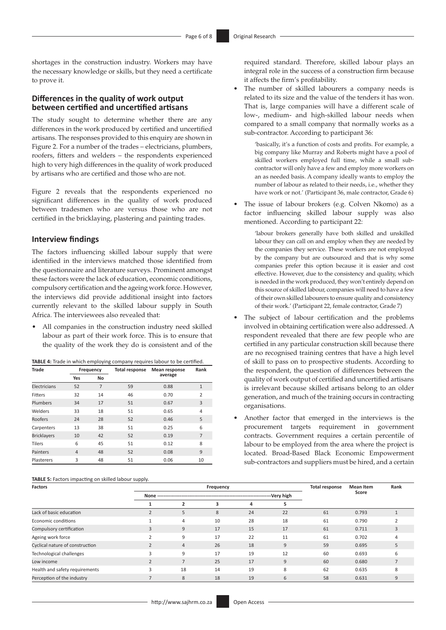shortages in the construction industry. Workers may have the necessary knowledge or skills, but they need a certificate to prove it.

### **Differences in the quality of work output between certified and uncertified artisans**

The study sought to determine whether there are any differences in the work produced by certified and uncertified artisans. The responses provided to this enquiry are shown in Figure 2. For a number of the trades – electricians, plumbers, roofers, fitters and welders – the respondents experienced high to very high differences in the quality of work produced by artisans who are certified and those who are not.

Figure 2 reveals that the respondents experienced no significant differences in the quality of work produced between tradesmen who are versus those who are not certified in the bricklaying, plastering and painting trades.

#### **Interview findings**

The factors influencing skilled labour supply that were identified in the interviews matched those identified from the questionnaire and literature surveys. Prominent amongst these factors were the lack of education, economic conditions, compulsory certification and the ageing work force. However, the interviews did provide additional insight into factors currently relevant to the skilled labour supply in South Africa. The interviewees also revealed that:

All companies in the construction industry need skilled labour as part of their work force. This is to ensure that the quality of the work they do is consistent and of the

| Trade              |                | Frequency      | Total response | Mean response | Rank           |
|--------------------|----------------|----------------|----------------|---------------|----------------|
|                    | Yes            | No             |                | average       |                |
| Electricians       | 52             | $\overline{7}$ | 59             | 0.88          | $\mathbf{1}$   |
| Fitters            | 32             | 14             | 46             | 0.70          | $\overline{2}$ |
| Plumbers           | 34             | 17             | 51             | 0.67          | 3              |
| Welders            | 33             | 18             | 51             | 0.65          | 4              |
| Roofers            | 24             | 28             | 52             | 0.46          | 5              |
| Carpenters         | 13             | 38             | 51             | 0.25          | 6              |
| <b>Bricklayers</b> | 10             | 42             | 52             | 0.19          | $\overline{7}$ |
| <b>Tilers</b>      | 6              | 45             | 51             | 0.12          | 8              |
| Painters           | $\overline{4}$ | 48             | 52             | 0.08          | 9              |
| Plasterers         | 3              | 48             | 51             | 0.06          | 10             |

#### **TABLE 5:** Factors impacting on skilled labour supply.

required standard. Therefore, skilled labour plays an integral role in the success of a construction firm because it affects the firm's profitability.

The number of skilled labourers a company needs is related to its size and the value of the tenders it has won. That is, large companies will have a different scale of low-, medium- and high-skilled labour needs when compared to a small company that normally works as a sub-contractor. According to participant 36:

> 'basically, it's a function of costs and profits. For example, a big company like Murray and Roberts might have a pool of skilled workers employed full time, while a small subcontractor will only have a few and employ more workers on an as needed basis. A company ideally wants to employ the number of labour as related to their needs, i.e., whether they have work or not.' (Participant 36, male contractor, Grade 6)

• The issue of labour brokers (e.g. Colven Nkomo) as a factor influencing skilled labour supply was also mentioned. According to participant 22:

> 'labour brokers generally have both skilled and unskilled labour they can call on and employ when they are needed by the companies they service. These workers are not employed by the company but are outsourced and that is why some companies prefer this option because it is easier and cost effective. However, due to the consistency and quality, which is needed in the work produced, they won't entirely depend on this source of skilled labour, companies will need to have a few of their own skilled labourers to ensure quality and consistency of their work.' (Participant 22, female contractor, Grade 7)

- • The subject of labour certification and the problems involved in obtaining certification were also addressed. A respondent revealed that there are few people who are certified in any particular construction skill because there are no recognised training centres that have a high level of skill to pass on to prospective students. According to the respondent, the question of differences between the quality of work output of certified and uncertified artisans is irrelevant because skilled artisans belong to an older generation, and much of the training occurs in contracting organisations.
- Another factor that emerged in the interviews is the procurement targets requirement in government contracts. Government requires a certain percentile of labour to be employed from the area where the project is located. Broad-Based Black Economic Empowerment sub-contractors and suppliers must be hired, and a certain

| - -<br><b>Factors</b>           | $     -$ |                          | Frequency | <b>Total response</b> | <b>Mean Item</b> | Rank |       |   |
|---------------------------------|----------|--------------------------|-----------|-----------------------|------------------|------|-------|---|
|                                 |          |                          |           |                       |                  |      | Score |   |
|                                 |          | $\overline{\phantom{a}}$ | 3         | 4                     | 5                |      |       |   |
| Lack of basic education         |          | 5                        | 8         | 24                    | 22               | 61   | 0.793 |   |
| Economic conditions             |          | 4                        | 10        | 28                    | 18               | 61   | 0.790 |   |
| Compulsory certification        |          | 9                        | 17        | 15                    | 17               | 61   | 0.711 | 3 |
| Ageing work force               |          | 9                        | 17        | 22                    | 11               | 61   | 0.702 |   |
| Cyclical nature of construction |          | $\overline{4}$           | 26        | 18                    | 9                | 59   | 0.695 |   |
| Technological challenges        |          | 9                        | 17        | 19                    | 12               | 60   | 0.693 | 6 |
| Low income                      |          |                          | 25        | 17                    | 9                | 60   | 0.680 |   |
| Health and safety requirements  |          | 18                       | 14        | 19                    | 8                | 62   | 0.635 | 8 |
| Perception of the industry      |          | 8                        | 18        | 19                    | 6                | 58   | 0.631 | 9 |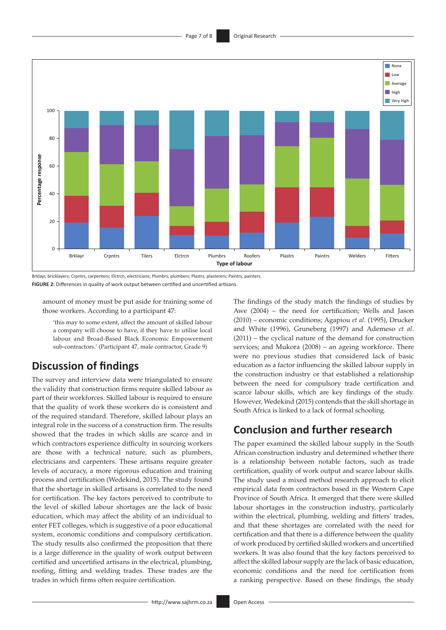

**FIGURE 2:** Differences in quality of work output between certified and uncertified artisans.

amount of money must be put aside for training some of those workers. According to a participant 47:

'this may to some extent, affect the amount of skilled labour a company will choose to have, if they have to utilise local labour and Broad-Based Black Economic Empowerment sub-contractors.' (Participant 47, male contractor, Grade 9)

# **Discussion of findings**

The survey and interview data were triangulated to ensure the validity that construction firms require skilled labour as part of their workforces. Skilled labour is required to ensure that the quality of work these workers do is consistent and of the required standard. Therefore, skilled labour plays an integral role in the success of a construction firm. The results showed that the trades in which skills are scarce and in which contractors experience difficulty in sourcing workers are those with a technical nature, such as plumbers, electricians and carpenters. These artisans require greater levels of accuracy, a more rigorous education and training process and certification (Wedekind, 2015). The study found that the shortage in skilled artisans is correlated to the need for certification. The key factors perceived to contribute to the level of skilled labour shortages are the lack of basic education, which may affect the ability of an individual to enter FET colleges, which is suggestive of a poor educational system, economic conditions and compulsory certification. The study results also confirmed the proposition that there is a large difference in the quality of work output between certified and uncertified artisans in the electrical, plumbing, roofing, fitting and welding trades. These trades are the trades in which firms often require certification.

The findings of the study match the findings of studies by Awe (2004) – the need for certification; Wells and Jason (2010) – economic conditions; Agapiou *et al*. (1995), Drucker and White (1996), Gruneberg (1997) and Ademeso *et al*. (2011) – the cyclical nature of the demand for construction services; and Mukora (2008) – an ageing workforce. There were no previous studies that considered lack of basic education as a factor influencing the skilled labour supply in the construction industry or that established a relationship between the need for compulsory trade certification and scarce labour skills, which are key findings of the study. However, Wedekind (2015) contends that the skill shortage in South Africa is linked to a lack of formal schooling.

# **Conclusion and further research**

The paper examined the skilled labour supply in the South African construction industry and determined whether there is a relationship between notable factors, such as trade certification, quality of work output and scarce labour skills. The study used a mixed method research approach to elicit empirical data from contractors based in the Western Cape Province of South Africa. It emerged that there were skilled labour shortages in the construction industry, particularly within the electrical, plumbing, welding and fitters' trades, and that these shortages are correlated with the need for certification and that there is a difference between the quality of work produced by certified skilled workers and uncertified workers. It was also found that the key factors perceived to affect the skilled labour supply are the lack of basic education, economic conditions and the need for certification from a ranking perspective. Based on these findings, the study